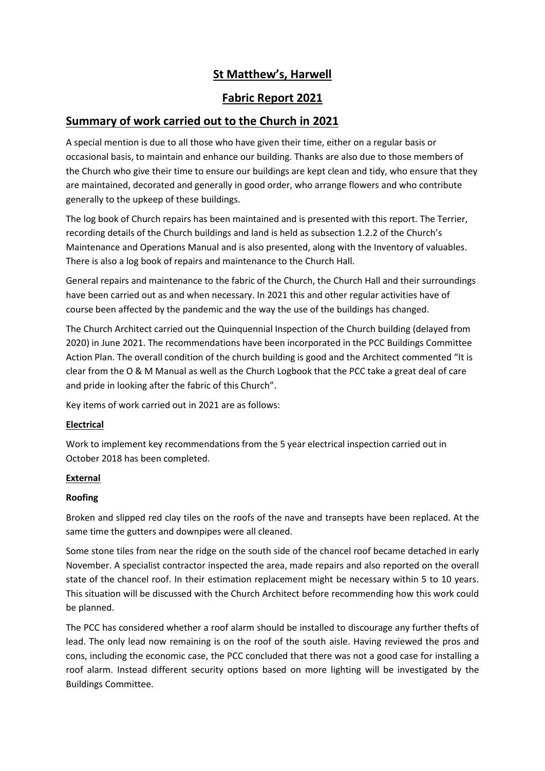# **St Matthew's, Harwell**

## **Fabric Report 2021**

# **Summary of work carried out to the Church in 2021**

A special mention is due to all those who have given their time, either on a regular basis or occasional basis, to maintain and enhance our building. Thanks are also due to those members of the Church who give their time to ensure our buildings are kept clean and tidy, who ensure that they are maintained, decorated and generally in good order, who arrange flowers and who contribute generally to the upkeep of these buildings.

The log book of Church repairs has been maintained and is presented with this report. The Terrier, recording details of the Church buildings and land is held as subsection 1.2.2 of the Church's Maintenance and Operations Manual and is also presented, along with the Inventory of valuables. There is also a log book of repairs and maintenance to the Church Hall.

General repairs and maintenance to the fabric of the Church, the Church Hall and their surroundings have been carried out as and when necessary. In 2021 this and other regular activities have of course been affected by the pandemic and the way the use of the buildings has changed.

The Church Architect carried out the Quinquennial Inspection of the Church building (delayed from 2020) in June 2021. The recommendations have been incorporated in the PCC Buildings Committee Action Plan. The overall condition of the church building is good and the Architect commented "It is clear from the O & M Manual as well as the Church Logbook that the PCC take a great deal of care and pride in looking after the fabric of this Church".

Key items of work carried out in 2021 are as follows:

### **Electrical**

Work to implement key recommendations from the 5 year electrical inspection carried out in October 2018 has been completed.

### **External**

### **Roofing**

Broken and slipped red clay tiles on the roofs of the nave and transepts have been replaced. At the same time the gutters and downpipes were all cleaned.

Some stone tiles from near the ridge on the south side of the chancel roof became detached in early November. A specialist contractor inspected the area, made repairs and also reported on the overall state of the chancel roof. In their estimation replacement might be necessary within 5 to 10 years. This situation will be discussed with the Church Architect before recommending how this work could be planned.

The PCC has considered whether a roof alarm should be installed to discourage any further thefts of lead. The only lead now remaining is on the roof of the south aisle. Having reviewed the pros and cons, including the economic case, the PCC concluded that there was not a good case for installing a roof alarm. Instead different security options based on more lighting will be investigated by the Buildings Committee.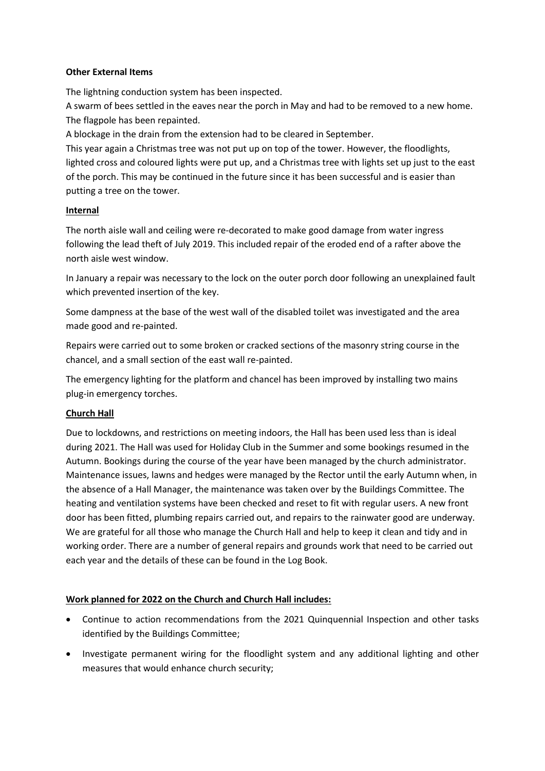#### **Other External Items**

The lightning conduction system has been inspected.

A swarm of bees settled in the eaves near the porch in May and had to be removed to a new home. The flagpole has been repainted.

A blockage in the drain from the extension had to be cleared in September.

This year again a Christmas tree was not put up on top of the tower. However, the floodlights, lighted cross and coloured lights were put up, and a Christmas tree with lights set up just to the east of the porch. This may be continued in the future since it has been successful and is easier than putting a tree on the tower.

#### **Internal**

The north aisle wall and ceiling were re-decorated to make good damage from water ingress following the lead theft of July 2019. This included repair of the eroded end of a rafter above the north aisle west window.

In January a repair was necessary to the lock on the outer porch door following an unexplained fault which prevented insertion of the key.

Some dampness at the base of the west wall of the disabled toilet was investigated and the area made good and re-painted.

Repairs were carried out to some broken or cracked sections of the masonry string course in the chancel, and a small section of the east wall re-painted.

The emergency lighting for the platform and chancel has been improved by installing two mains plug-in emergency torches.

### **Church Hall**

Due to lockdowns, and restrictions on meeting indoors, the Hall has been used less than is ideal during 2021. The Hall was used for Holiday Club in the Summer and some bookings resumed in the Autumn. Bookings during the course of the year have been managed by the church administrator. Maintenance issues, lawns and hedges were managed by the Rector until the early Autumn when, in the absence of a Hall Manager, the maintenance was taken over by the Buildings Committee. The heating and ventilation systems have been checked and reset to fit with regular users. A new front door has been fitted, plumbing repairs carried out, and repairs to the rainwater good are underway. We are grateful for all those who manage the Church Hall and help to keep it clean and tidy and in working order. There are a number of general repairs and grounds work that need to be carried out each year and the details of these can be found in the Log Book.

### **Work planned for 2022 on the Church and Church Hall includes:**

- Continue to action recommendations from the 2021 Quinquennial Inspection and other tasks identified by the Buildings Committee;
- Investigate permanent wiring for the floodlight system and any additional lighting and other measures that would enhance church security;